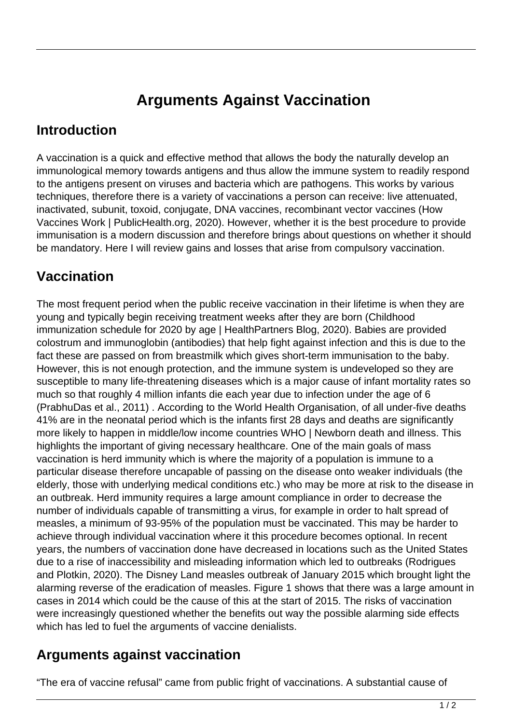# **Arguments Against Vaccination**

#### **Introduction**

A vaccination is a quick and effective method that allows the body the naturally develop an immunological memory towards antigens and thus allow the immune system to readily respond to the antigens present on viruses and bacteria which are pathogens. This works by various techniques, therefore there is a variety of vaccinations a person can receive: live attenuated, inactivated, subunit, toxoid, conjugate, DNA vaccines, recombinant vector vaccines (How Vaccines Work | PublicHealth.org, 2020). However, whether it is the best procedure to provide immunisation is a modern discussion and therefore brings about questions on whether it should be mandatory. Here I will review gains and losses that arise from compulsory vaccination.

## **Vaccination**

The most frequent period when the public receive vaccination in their lifetime is when they are young and typically begin receiving treatment weeks after they are born (Childhood immunization schedule for 2020 by age | HealthPartners Blog, 2020). Babies are provided colostrum and immunoglobin (antibodies) that help fight against infection and this is due to the fact these are passed on from breastmilk which gives short-term immunisation to the baby. However, this is not enough protection, and the immune system is undeveloped so they are susceptible to many life-threatening diseases which is a major cause of infant mortality rates so much so that roughly 4 million infants die each year due to infection under the age of 6 (PrabhuDas et al., 2011) . According to the World Health Organisation, of all under-five deaths 41% are in the neonatal period which is the infants first 28 days and deaths are significantly more likely to happen in middle/low income countries WHO | Newborn death and illness. This highlights the important of giving necessary healthcare. One of the main goals of mass vaccination is herd immunity which is where the majority of a population is immune to a particular disease therefore uncapable of passing on the disease onto weaker individuals (the elderly, those with underlying medical conditions etc.) who may be more at risk to the disease in an outbreak. Herd immunity requires a large amount compliance in order to decrease the number of individuals capable of transmitting a virus, for example in order to halt spread of measles, a minimum of 93-95% of the population must be vaccinated. This may be harder to achieve through individual vaccination where it this procedure becomes optional. In recent years, the numbers of vaccination done have decreased in locations such as the United States due to a rise of inaccessibility and misleading information which led to outbreaks (Rodrigues and Plotkin, 2020). The Disney Land measles outbreak of January 2015 which brought light the alarming reverse of the eradication of measles. Figure 1 shows that there was a large amount in cases in 2014 which could be the cause of this at the start of 2015. The risks of vaccination were increasingly questioned whether the benefits out way the possible alarming side effects which has led to fuel the arguments of vaccine denialists.

#### **Arguments against vaccination**

"The era of vaccine refusal" came from public fright of vaccinations. A substantial cause of